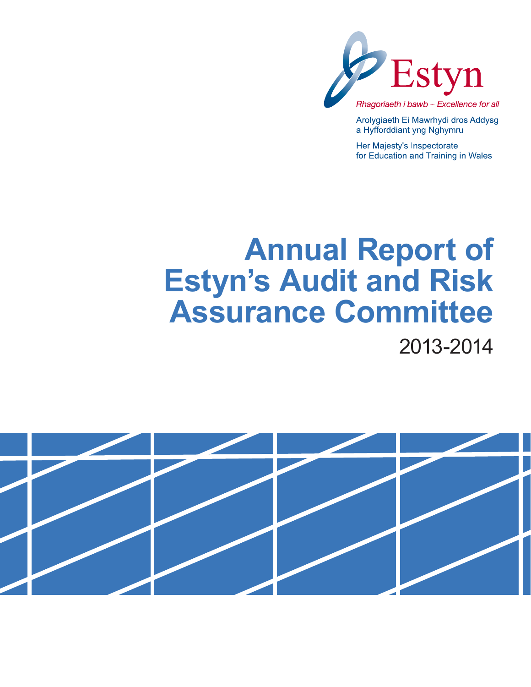

Arolygiaeth Ei Mawrhydi dros Addysg a Hyfforddiant yng Nghymru

Her Majesty's Inspectorate for Education and Training in Wales

# **Annual Report of Estyn's Audit and Risk Assurance Committee** 2013-2014

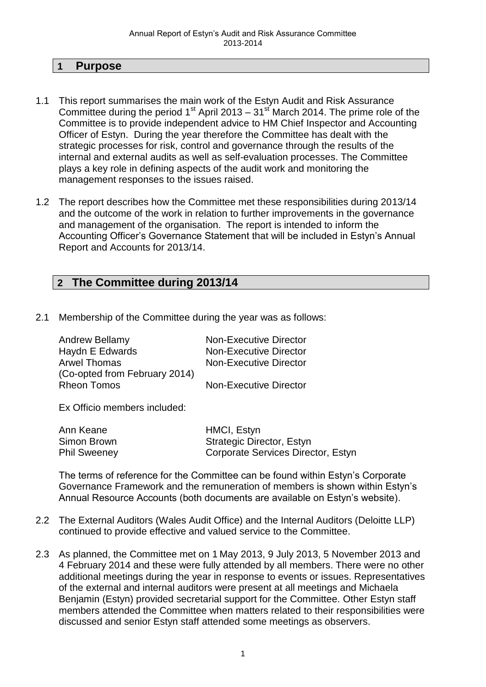#### **1 Purpose**

- 1.1 This report summarises the main work of the Estyn Audit and Risk Assurance Committee during the period 1<sup>st</sup> April 2013 – 31<sup>st</sup> March 2014. The prime role of the Committee is to provide independent advice to HM Chief Inspector and Accounting Officer of Estyn. During the year therefore the Committee has dealt with the strategic processes for risk, control and governance through the results of the internal and external audits as well as self-evaluation processes. The Committee plays a key role in defining aspects of the audit work and monitoring the management responses to the issues raised.
- 1.2 The report describes how the Committee met these responsibilities during 2013/14 and the outcome of the work in relation to further improvements in the governance and management of the organisation. The report is intended to inform the Accounting Officer's Governance Statement that will be included in Estyn's Annual Report and Accounts for 2013/14.

# **2 The Committee during 2013/14**

2.1 Membership of the Committee during the year was as follows:

| Andrew Bellamy                | <b>Non-Executive Director</b> |
|-------------------------------|-------------------------------|
| Haydn E Edwards               | <b>Non-Executive Director</b> |
| <b>Arwel Thomas</b>           | <b>Non-Executive Director</b> |
| (Co-opted from February 2014) |                               |
| <b>Rheon Tomos</b>            | <b>Non-Executive Director</b> |
|                               |                               |
| Ex Officio members included:  |                               |
|                               |                               |

| Ann Keane           | HMCI, Estyn                        |
|---------------------|------------------------------------|
| Simon Brown         | <b>Strategic Director, Estyn</b>   |
| <b>Phil Sweeney</b> | Corporate Services Director, Estyn |

The terms of reference for the Committee can be found within Estyn's Corporate Governance Framework and the remuneration of members is shown within Estyn's Annual Resource Accounts (both documents are available on Estyn's website).

- 2.2 The External Auditors (Wales Audit Office) and the Internal Auditors (Deloitte LLP) continued to provide effective and valued service to the Committee.
- 2.3 As planned, the Committee met on 1 May 2013, 9 July 2013, 5 November 2013 and 4 February 2014 and these were fully attended by all members. There were no other additional meetings during the year in response to events or issues. Representatives of the external and internal auditors were present at all meetings and Michaela Benjamin (Estyn) provided secretarial support for the Committee. Other Estyn staff members attended the Committee when matters related to their responsibilities were discussed and senior Estyn staff attended some meetings as observers.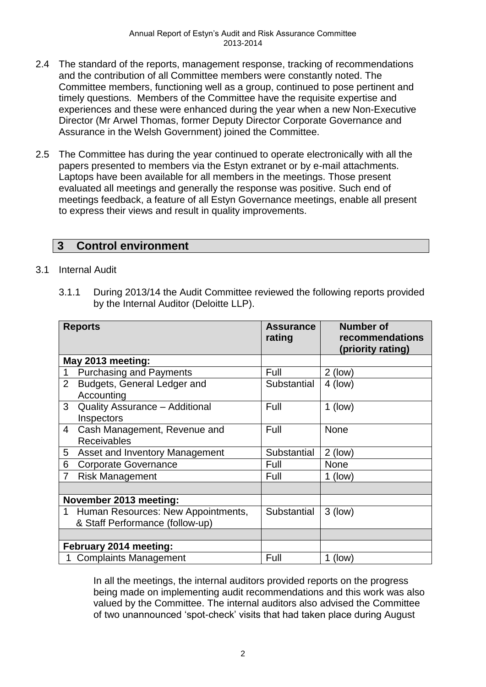- 2.4 The standard of the reports, management response, tracking of recommendations and the contribution of all Committee members were constantly noted. The Committee members, functioning well as a group, continued to pose pertinent and timely questions. Members of the Committee have the requisite expertise and experiences and these were enhanced during the year when a new Non-Executive Director (Mr Arwel Thomas, former Deputy Director Corporate Governance and Assurance in the Welsh Government) joined the Committee.
- 2.5 The Committee has during the year continued to operate electronically with all the papers presented to members via the Estyn extranet or by e-mail attachments. Laptops have been available for all members in the meetings. Those present evaluated all meetings and generally the response was positive. Such end of meetings feedback, a feature of all Estyn Governance meetings, enable all present to express their views and result in quality improvements.

#### **3 Control environment**

#### 3.1 Internal Audit

3.1.1 During 2013/14 the Audit Committee reviewed the following reports provided by the Internal Auditor (Deloitte LLP).

| <b>Reports</b>    |                                                                       | <b>Assurance</b><br>rating | <b>Number of</b><br>recommendations<br>(priority rating) |
|-------------------|-----------------------------------------------------------------------|----------------------------|----------------------------------------------------------|
| May 2013 meeting: |                                                                       |                            |                                                          |
| $\mathbf{1}$      | <b>Purchasing and Payments</b>                                        | Full                       | $2$ (low)                                                |
| $\overline{2}$    | Budgets, General Ledger and<br>Accounting                             | Substantial                | $4$ (low)                                                |
| 3                 | <b>Quality Assurance - Additional</b><br>Inspectors                   | Full                       | $1$ (low)                                                |
| 4                 | Cash Management, Revenue and<br><b>Receivables</b>                    | Full                       | <b>None</b>                                              |
| 5                 | Asset and Inventory Management                                        | Substantial                | $2$ (low)                                                |
| 6                 | <b>Corporate Governance</b>                                           | Full                       | <b>None</b>                                              |
| $\overline{7}$    | <b>Risk Management</b>                                                | Full                       | $1$ (low)                                                |
|                   |                                                                       |                            |                                                          |
|                   | November 2013 meeting:                                                |                            |                                                          |
| 1                 | Human Resources: New Appointments,<br>& Staff Performance (follow-up) | Substantial                | $3$ (low)                                                |
|                   |                                                                       |                            |                                                          |
|                   | February 2014 meeting:                                                |                            |                                                          |
|                   | <b>Complaints Management</b>                                          | Full                       | (low)                                                    |

In all the meetings, the internal auditors provided reports on the progress being made on implementing audit recommendations and this work was also valued by the Committee. The internal auditors also advised the Committee of two unannounced 'spot-check' visits that had taken place during August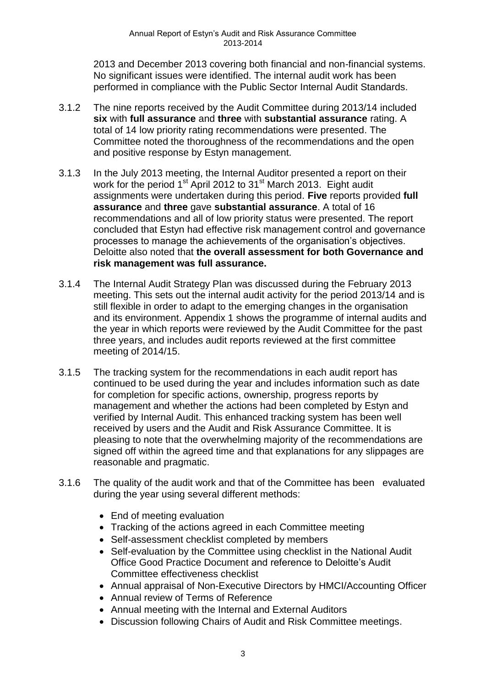2013 and December 2013 covering both financial and non-financial systems. No significant issues were identified. The internal audit work has been performed in compliance with the Public Sector Internal Audit Standards.

- 3.1.2 The nine reports received by the Audit Committee during 2013/14 included **six** with **full assurance** and **three** with **substantial assurance** rating. A total of 14 low priority rating recommendations were presented. The Committee noted the thoroughness of the recommendations and the open and positive response by Estyn management.
- 3.1.3 In the July 2013 meeting, the Internal Auditor presented a report on their work for the period 1<sup>st</sup> April 2012 to 31<sup>st</sup> March 2013. Eight audit assignments were undertaken during this period. **Five** reports provided **full assurance** and **three** gave **substantial assurance**. A total of 16 recommendations and all of low priority status were presented. The report concluded that Estyn had effective risk management control and governance processes to manage the achievements of the organisation's objectives. Deloitte also noted that **the overall assessment for both Governance and risk management was full assurance.**
- 3.1.4 The Internal Audit Strategy Plan was discussed during the February 2013 meeting. This sets out the internal audit activity for the period 2013/14 and is still flexible in order to adapt to the emerging changes in the organisation and its environment. Appendix 1 shows the programme of internal audits and the year in which reports were reviewed by the Audit Committee for the past three years, and includes audit reports reviewed at the first committee meeting of 2014/15.
- 3.1.5 The tracking system for the recommendations in each audit report has continued to be used during the year and includes information such as date for completion for specific actions, ownership, progress reports by management and whether the actions had been completed by Estyn and verified by Internal Audit. This enhanced tracking system has been well received by users and the Audit and Risk Assurance Committee. It is pleasing to note that the overwhelming majority of the recommendations are signed off within the agreed time and that explanations for any slippages are reasonable and pragmatic.
- 3.1.6 The quality of the audit work and that of the Committee has been evaluated during the year using several different methods:
	- End of meeting evaluation
	- Tracking of the actions agreed in each Committee meeting
	- Self-assessment checklist completed by members
	- Self-evaluation by the Committee using checklist in the National Audit Office Good Practice Document and reference to Deloitte's Audit Committee effectiveness checklist
	- Annual appraisal of Non-Executive Directors by HMCI/Accounting Officer
	- Annual review of Terms of Reference
	- Annual meeting with the Internal and External Auditors
	- Discussion following Chairs of Audit and Risk Committee meetings.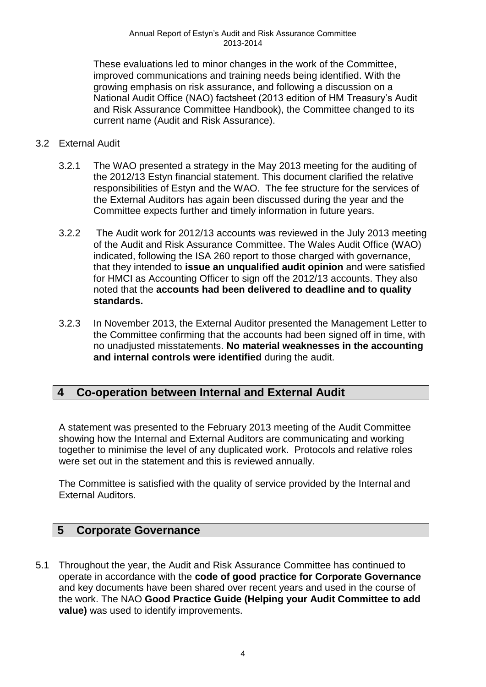These evaluations led to minor changes in the work of the Committee, improved communications and training needs being identified. With the growing emphasis on risk assurance, and following a discussion on a National Audit Office (NAO) factsheet (2013 edition of HM Treasury's Audit and Risk Assurance Committee Handbook), the Committee changed to its current name (Audit and Risk Assurance).

#### 3.2 External Audit

- 3.2.1 The WAO presented a strategy in the May 2013 meeting for the auditing of the 2012/13 Estyn financial statement. This document clarified the relative responsibilities of Estyn and the WAO. The fee structure for the services of the External Auditors has again been discussed during the year and the Committee expects further and timely information in future years.
- 3.2.2 The Audit work for 2012/13 accounts was reviewed in the July 2013 meeting of the Audit and Risk Assurance Committee. The Wales Audit Office (WAO) indicated, following the ISA 260 report to those charged with governance, that they intended to **issue an unqualified audit opinion** and were satisfied for HMCI as Accounting Officer to sign off the 2012/13 accounts. They also noted that the **accounts had been delivered to deadline and to quality standards.**
- 3.2.3 In November 2013, the External Auditor presented the Management Letter to the Committee confirming that the accounts had been signed off in time, with no unadjusted misstatements. **No material weaknesses in the accounting and internal controls were identified** during the audit.

# **4 Co-operation between Internal and External Audit**

A statement was presented to the February 2013 meeting of the Audit Committee showing how the Internal and External Auditors are communicating and working together to minimise the level of any duplicated work. Protocols and relative roles were set out in the statement and this is reviewed annually.

The Committee is satisfied with the quality of service provided by the Internal and External Auditors.

#### **5 Corporate Governance**

5.1 Throughout the year, the Audit and Risk Assurance Committee has continued to operate in accordance with the **code of good practice for Corporate Governance** and key documents have been shared over recent years and used in the course of the work. The NAO **Good Practice Guide (Helping your Audit Committee to add value)** was used to identify improvements.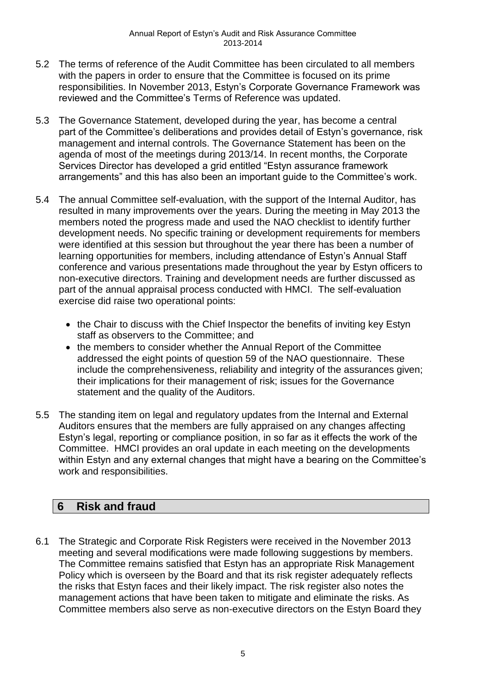- 5.2 The terms of reference of the Audit Committee has been circulated to all members with the papers in order to ensure that the Committee is focused on its prime responsibilities. In November 2013, Estyn's Corporate Governance Framework was reviewed and the Committee's Terms of Reference was updated.
- 5.3 The Governance Statement, developed during the year, has become a central part of the Committee's deliberations and provides detail of Estyn's governance, risk management and internal controls. The Governance Statement has been on the agenda of most of the meetings during 2013/14. In recent months, the Corporate Services Director has developed a grid entitled "Estyn assurance framework arrangements" and this has also been an important guide to the Committee's work.
- 5.4 The annual Committee self-evaluation, with the support of the Internal Auditor, has resulted in many improvements over the years. During the meeting in May 2013 the members noted the progress made and used the NAO checklist to identify further development needs. No specific training or development requirements for members were identified at this session but throughout the year there has been a number of learning opportunities for members, including attendance of Estyn's Annual Staff conference and various presentations made throughout the year by Estyn officers to non-executive directors. Training and development needs are further discussed as part of the annual appraisal process conducted with HMCI. The self-evaluation exercise did raise two operational points:
	- the Chair to discuss with the Chief Inspector the benefits of inviting key Estyn staff as observers to the Committee; and
	- the members to consider whether the Annual Report of the Committee addressed the eight points of question 59 of the NAO questionnaire. These include the comprehensiveness, reliability and integrity of the assurances given; their implications for their management of risk; issues for the Governance statement and the quality of the Auditors.
- 5.5 The standing item on legal and regulatory updates from the Internal and External Auditors ensures that the members are fully appraised on any changes affecting Estyn's legal, reporting or compliance position, in so far as it effects the work of the Committee. HMCI provides an oral update in each meeting on the developments within Estyn and any external changes that might have a bearing on the Committee's work and responsibilities.

# **6 Risk and fraud**

6.1 The Strategic and Corporate Risk Registers were received in the November 2013 meeting and several modifications were made following suggestions by members. The Committee remains satisfied that Estyn has an appropriate Risk Management Policy which is overseen by the Board and that its risk register adequately reflects the risks that Estyn faces and their likely impact. The risk register also notes the management actions that have been taken to mitigate and eliminate the risks. As Committee members also serve as non-executive directors on the Estyn Board they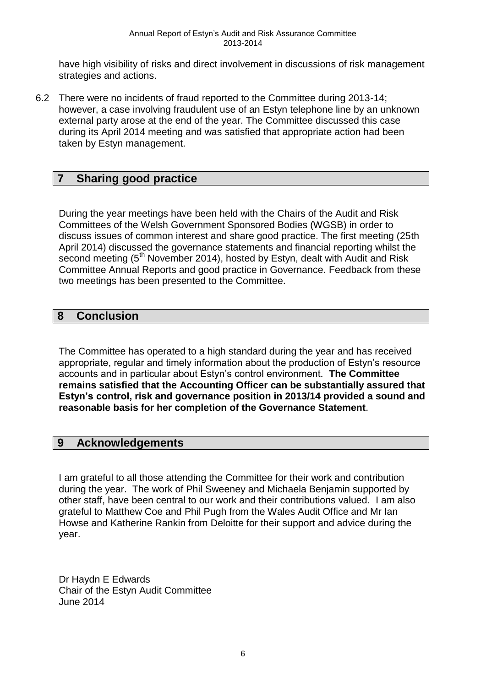have high visibility of risks and direct involvement in discussions of risk management strategies and actions.

6.2 There were no incidents of fraud reported to the Committee during 2013-14; however, a case involving fraudulent use of an Estyn telephone line by an unknown external party arose at the end of the year. The Committee discussed this case during its April 2014 meeting and was satisfied that appropriate action had been taken by Estyn management.

# **7 Sharing good practice**

During the year meetings have been held with the Chairs of the Audit and Risk Committees of the Welsh Government Sponsored Bodies (WGSB) in order to discuss issues of common interest and share good practice. The first meeting (25th April 2014) discussed the governance statements and financial reporting whilst the second meeting  $5<sup>th</sup>$  November 2014), hosted by Estyn, dealt with Audit and Risk Committee Annual Reports and good practice in Governance. Feedback from these two meetings has been presented to the Committee.

### **8 Conclusion**

The Committee has operated to a high standard during the year and has received appropriate, regular and timely information about the production of Estyn's resource accounts and in particular about Estyn's control environment. **The Committee remains satisfied that the Accounting Officer can be substantially assured that Estyn's control, risk and governance position in 2013/14 provided a sound and reasonable basis for her completion of the Governance Statement**.

#### **9 Acknowledgements**

I am grateful to all those attending the Committee for their work and contribution during the year. The work of Phil Sweeney and Michaela Benjamin supported by other staff, have been central to our work and their contributions valued. I am also grateful to Matthew Coe and Phil Pugh from the Wales Audit Office and Mr Ian Howse and Katherine Rankin from Deloitte for their support and advice during the year.

Dr Haydn E Edwards Chair of the Estyn Audit Committee June 2014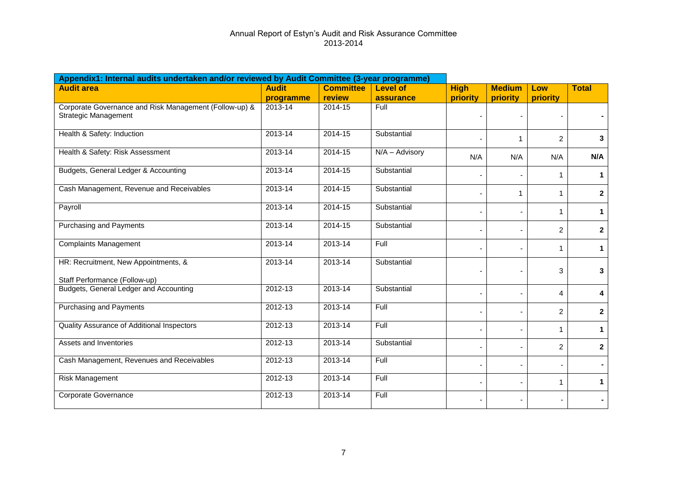| Appendix1: Internal audits undertaken and/or reviewed by Audit Committee (3-year programme) |              |                  |                 |             |               |                |                |
|---------------------------------------------------------------------------------------------|--------------|------------------|-----------------|-------------|---------------|----------------|----------------|
| <b>Audit area</b>                                                                           | <b>Audit</b> | <b>Committee</b> | <b>Level of</b> | <b>High</b> | <b>Medium</b> | Low            | <b>Total</b>   |
|                                                                                             | programme    | review           | assurance       | priority    | priority      | priority       |                |
| Corporate Governance and Risk Management (Follow-up) &<br><b>Strategic Management</b>       | 2013-14      | 2014-15          | Full            |             |               | ٠              |                |
| Health & Safety: Induction                                                                  | $2013 - 14$  | 2014-15          | Substantial     | $\sim$      |               | 2              | 3              |
| Health & Safety: Risk Assessment                                                            | $2013 - 14$  | 2014-15          | N/A - Advisory  | N/A         | N/A           | N/A            | N/A            |
| Budgets, General Ledger & Accounting                                                        | $2013 - 14$  | 2014-15          | Substantial     |             |               | 1              | 1              |
| Cash Management, Revenue and Receivables                                                    | $2013 - 14$  | $2014 - 15$      | Substantial     |             | 1             | $\mathbf{1}$   | $\mathbf{2}$   |
| Payroll                                                                                     | $2013 - 14$  | $2014 - 15$      | Substantial     |             |               | 1              | 1              |
| <b>Purchasing and Payments</b>                                                              | $2013 - 14$  | $2014 - 15$      | Substantial     |             |               | $\overline{c}$ | $\mathbf{2}$   |
| <b>Complaints Management</b>                                                                | 2013-14      | 2013-14          | Full            |             |               | 1              | $\mathbf 1$    |
| HR: Recruitment, New Appointments, &<br>Staff Performance (Follow-up)                       | $2013 - 14$  | $2013 - 14$      | Substantial     |             |               | 3              | 3              |
| Budgets, General Ledger and Accounting                                                      | 2012-13      | 2013-14          | Substantial     |             |               | 4              | 4              |
| Purchasing and Payments                                                                     | 2012-13      | 2013-14          | Full            |             |               | $\overline{c}$ | $\overline{2}$ |
| Quality Assurance of Additional Inspectors                                                  | 2012-13      | 2013-14          | Full            |             |               | 1              | 1              |
| Assets and Inventories                                                                      | 2012-13      | 2013-14          | Substantial     |             |               | $\overline{2}$ | $\mathbf{2}$   |
| Cash Management, Revenues and Receivables                                                   | 2012-13      | 2013-14          | Full            |             |               |                |                |
| Risk Management                                                                             | 2012-13      | 2013-14          | Full            |             |               | 1              | $\mathbf 1$    |
| Corporate Governance                                                                        | 2012-13      | 2013-14          | Full            |             |               |                |                |